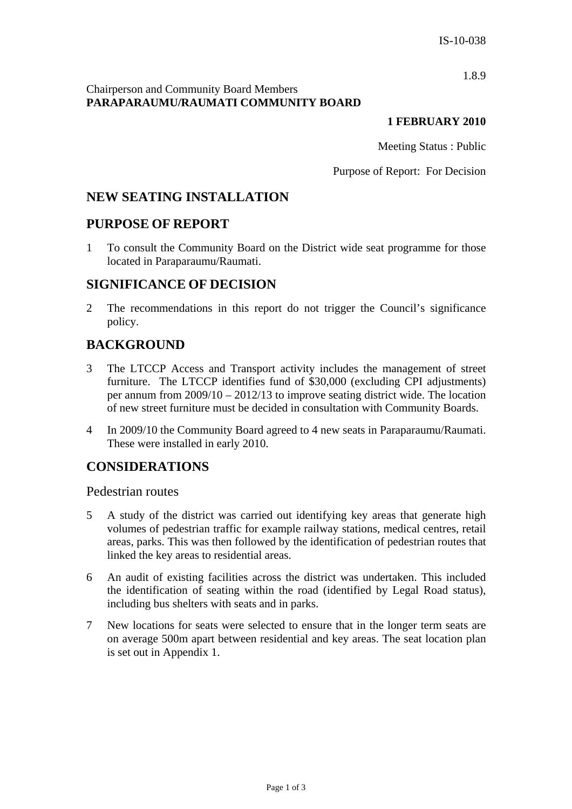1.8.9

## Chairperson and Community Board Members **PARAPARAUMU/RAUMATI COMMUNITY BOARD**

#### **1 FEBRUARY 2010**

Meeting Status : Public

Purpose of Report: For Decision

# **NEW SEATING INSTALLATION**

# **PURPOSE OF REPORT**

1 To consult the Community Board on the District wide seat programme for those located in Paraparaumu/Raumati.

# **SIGNIFICANCE OF DECISION**

2 The recommendations in this report do not trigger the Council's significance policy.

# **BACKGROUND**

- 3 The LTCCP Access and Transport activity includes the management of street furniture. The LTCCP identifies fund of \$30,000 (excluding CPI adjustments) per annum from 2009/10 – 2012/13 to improve seating district wide. The location of new street furniture must be decided in consultation with Community Boards.
- 4 In 2009/10 the Community Board agreed to 4 new seats in Paraparaumu/Raumati. These were installed in early 2010.

# **CONSIDERATIONS**

Pedestrian routes

- 5 A study of the district was carried out identifying key areas that generate high volumes of pedestrian traffic for example railway stations, medical centres, retail areas, parks. This was then followed by the identification of pedestrian routes that linked the key areas to residential areas.
- 6 An audit of existing facilities across the district was undertaken. This included the identification of seating within the road (identified by Legal Road status), including bus shelters with seats and in parks.
- 7 New locations for seats were selected to ensure that in the longer term seats are on average 500m apart between residential and key areas. The seat location plan is set out in Appendix 1.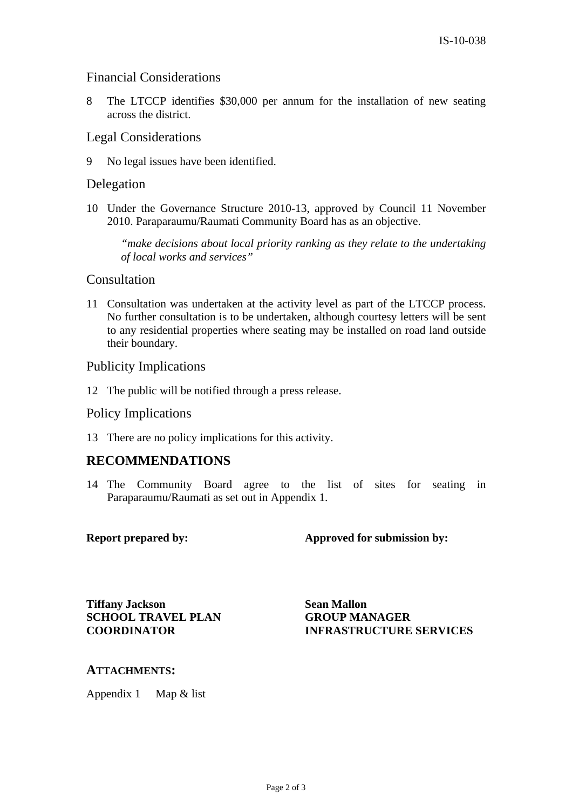## Financial Considerations

8 The LTCCP identifies \$30,000 per annum for the installation of new seating across the district.

### Legal Considerations

9 No legal issues have been identified.

## Delegation

10 Under the Governance Structure 2010-13, approved by Council 11 November 2010. Paraparaumu/Raumati Community Board has as an objective.

*"make decisions about local priority ranking as they relate to the undertaking of local works and services"* 

#### Consultation

11 Consultation was undertaken at the activity level as part of the LTCCP process. No further consultation is to be undertaken, although courtesy letters will be sent to any residential properties where seating may be installed on road land outside their boundary.

#### Publicity Implications

12 The public will be notified through a press release.

#### Policy Implications

13 There are no policy implications for this activity.

## **RECOMMENDATIONS**

14 The Community Board agree to the list of sites for seating in Paraparaumu/Raumati as set out in Appendix 1.

**Report prepared by: Approved for submission by:** 

**Tiffany Jackson SCHOOL TRAVEL PLAN COORDINATOR** 

**Sean Mallon GROUP MANAGER INFRASTRUCTURE SERVICES** 

## **ATTACHMENTS:**

Appendix 1 Map & list